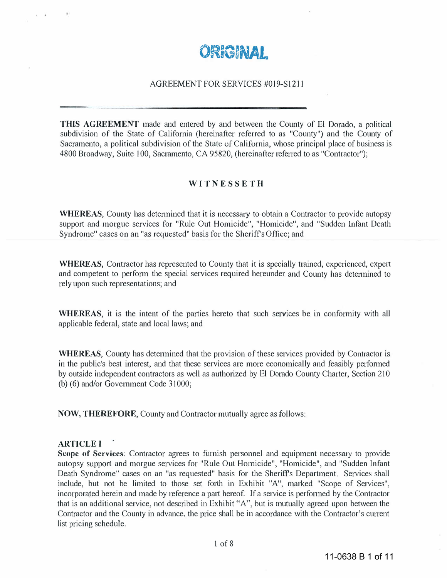

## AGREEMENT FOR SERVICES #019-S1211

THIS AGREEMENT made and entered by and between the County of EI Dorado, a political subdivision of the State of California (hereinafter referred to as "County") and the County of Sacramento, a political subdivision of the State of California, whose principal place of business is 4800 Broadway, Suite 100, Sacramento, CA 95820, (hereinafter referred to as "Contractor");

#### **WITNESSETH**

WHEREAS, County has determined that it is necessary to obtain a Contractor to provide autopsy support and morgue services for "Rule Out Homicide", "Homicide", and "Sudden Infant Death Syndrome" cases on an "as rcquested" basis for the Sheriff's Office; and

WHEREAS, Contractor has represented to County that it is specially trained, experienced, expert and competent to perform the special services required hereunder and County has determined to rely upon such representations; and

WHEREAS, it is the intent of the parties hereto that such services be in conformity with all applicable federal, state and local laws; and

WHEREAS, County has determined that the provision of these services provided by Contractor is in the public's best interest, and that these services are more economically and feasibly performed by outside independent contractors as well as authorized by EI Dorado County Charter, Section 210 (b) (6) and/or Government Code 31000;

NOW, THEREFORE, County and Contractor mutually agree as follows:

#### **ARTICLE I**

Scope of Services: Contractor agrees to furnish personnel and equipment necessary to provide autopsy support and morgue services for "Rule Out Homicide", "Homicide", and "Sudden Infant Death Syndrome" cases on an "as requested" basis for the Sheriff's Department. Services shall include, but not be limited to those set forth in Exhibit "A", marked "Scope of Services", incorporated herein and made by reference a part hereof. If a service is perfonned by the Contractor that is an additional service, not described in Exhibit "A", but is mutually agreed upon between the Contractor and the County in advance, the price shall be in accordance with the Contractor's current list pricing schedule.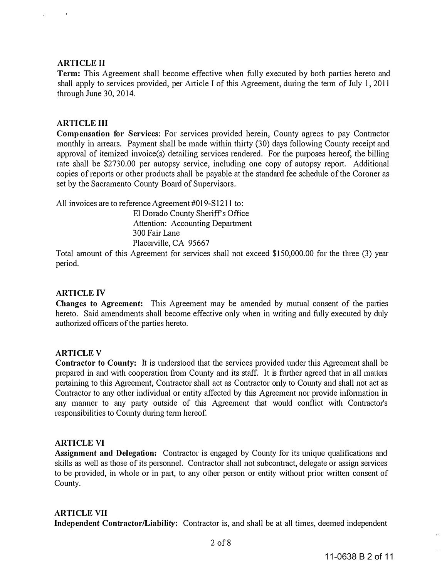## ARTICLE II

Term: This Agreement shall become effective when fully executed by both parties hereto and shall apply to services provided, per Article I of this Agreement, during the term of July 1, 2011 through June 30, 2014.

## ARTICLE III

Compensation for Services: For services provided herein, County agrees to pay Contractor monthly in arrears. Payment shall be made within thirty (30) days following County receipt and approval of itemized invoice(s) detailing services rendered. For the purposes hereof, the billing rate shall be \$2730.00 per autopsy service, including one copy of autopsy report. Additional copies of reports or other products shall be payable at the standard fee schedule of the Coroner as set by the Sacramento County Board of Supervisors.

All invoices are to reference Agreement #019-S1211 to:

EI Dorado County Sheriffs Office Attention: Accounting Department 3 00 Fair Lane Placerville, CA 95667

Total amount of this Agreement for services shall not exceed \$150,000.00 for the three (3) year period.

# ARTICLE IV

Changes to Agreement: This Agreement may be amended by mutual consent of the parties hereto. Said amendments shall become effective only when in writing and fully executed by duly authorized officers of the patties hereto.

# ARTICLE V

Contractor to County: It is understood that the services provided under this Agreement shall be prepared in and with cooperation from County and its staff. It is further agreed that in all matters pertaining to this Agreement, Contractor shall act as Contractor only to County and shall not act as Contractor to any other individual or entity affected by this Agreement nor provide information in any manner to any party outside of this Agreement that would conflict with Contractor's responsibilities to County during term hereof.

## ARTICLE VI

Assignment and Delegation: Contractor is engaged by County for its unique qualifications and skills as well as those of its personnel. Contractor shall not subcontract, delegate or assign services to be provided, in whole or in part, to any other person or entity without prior written consent of County.

## ARTICLE VII

Independent Contractor/Liability: Contractor is, and shall be at all times, deemed independent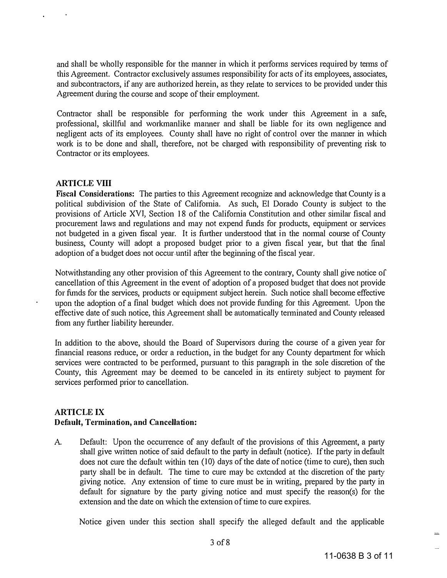and shall be wholly responsible for the manner in which it performs services required by terms of this Agreement. Contractor exclusively assumes responsibility for acts of its employees, associates, and subcontractors, if any are authorized herein, as they relate to services to be provided under this Agreement during the course and scope of their employment.

Contractor shall be responsible for performing the work under this Agreement in a safe, professional, skillful and workmanlike manner and shall be liable for its own negligence and negligent acts of its employees. County shall have no right of control over the manner in which work is to be done and shall, therefore, not be charged with responsibility of preventing risk to Contractor or its employees.

#### ARTICLE VIII

Fiscal Considerations: The parties to this Agreement recognize and acknowledge that County is a political subdivision of the State of California. As such, El Dorado County is subject to the provisions of Article XVI, Section 18 of the California Constitution and other similar fiscal and procurement laws and regulations and may not expend funds for products, equipment or services not budgeted in a given fiscal year. It is further understood that in the normal course of County business, County will adopt a proposed budget prior to a given fiscal year, but that the final adoption of a budget does not occur until after the beginning of the fiscal year.

Notwithstanding any other provision of this Agreement to the contrary, County shall give notice of cancellation of this Agreement in the event of adoption of a proposed budget that does not provide for funds for the services, products or equipment subject herein. Such notice shall become effective upon the adoption of a final budget which does not provide funding for this Agreement. Upon the effective date of such notice, this Agreement shall be automatically terminated and County released from any further liability hereunder.

In addition to the above, should the Board of Supervisors during the course of a given year for financial reasons reduce, or order a reduction, in the budget for any County department for which services were contracted to be performed, pursuant to this paragraph in the sole discretion of the County, this Agreement may be deemed to be canceled in its entirety subject to payment for services performed prior to cancellation.

# ARTICLE IX Default, Termination, and Cancellation:

A. Default: Upon the occurrence of any defanlt of the provisions of this Agreement, a party shall give written notice of said default to the party in default (notice). If the party in default does not cure the default within ten (10) days of the date of notice (time to cure), then such party shall be in default. The time to cure may bc cxtcnded at the discretion of the party giving notice. Any extension of time to cure must be in writing, prepared by the party in default for signature by the party giving notice and must specify the reason(s) for the extension and the date on which the extension of time to cure expires.

Notice given under this section shall specify the alleged default and the applicable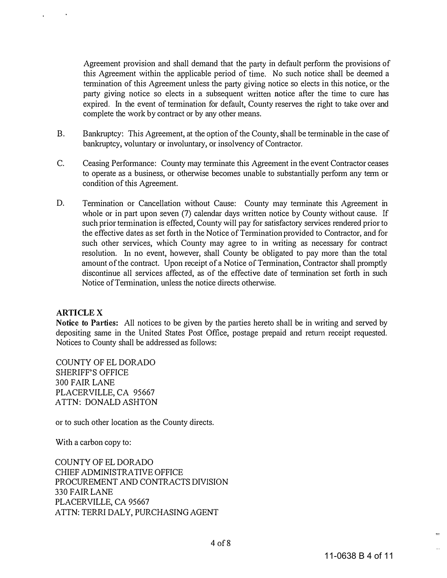Agreement provision and shall demand that the party in default perform the provisions of this Agreement within the applicable period of time. No such notice shall be deemed a termination of this Agreement unless the party giving notice so elects in this notice, or the party giving notice so elects in a subsequent written notice after the time to cure has expired. In the event of termination for default, County reserves the right to take over and complete the work by contract or by any other means.

- B. Bankruptcy: This Agreement, at the option of the County, shall be terminable in the case of bankruptcy, voluntary or involuntary, or insolvency of Contractor.
- C. Ceasing Performance: County may terminate this Agreement in the event Contractor ceases to operate as a business, or otherwise becomes unable to substantially perform any term or condition of this Agreement.
- D. Termination or Cancellation without Cause: County may terminate this Agreement in whole or in part upon seven (7) calendar days written notice by County without cause. If such prior termination is effected, County will pay for satisfactory services rendered prior to the effective dates as set forth in the Notice of Termination provided to Contractor, and for such other services, which County may agree to in writing as necessary for contract resolution. In no event, however, shall County be obligated to pay more than the total amount of the contract. Upon receipt of a Notice of Termination, Contractor shall promptly discontinue all services affected, as of the effective date of termination set forth in such Notice of Termination, unless the notice directs otherwise.

#### ARTICLE X

Notice to Parties: All notices to be given by the parties hereto shall be in writing and served by depositing same in the United States Post Office, postage prepaid and return receipt requested. Notices to County shall be addressed as follows:

COUNTY OF EL DORADO SHERIFF'S OFFICE 300 FAIR LANE PLACERVILLE, CA 95667 ATTN: DONALD ASHTON

or to such other location as the County directs.

With a carbon copy to:

COUNTY OF EL DORADO CHIEF ADMINISTRATIVE OFFICE PROCUREMENT AND CONTRACTS DIVISION 330 FAIR LANE PLACERVILLE, CA 95667 ATTN: TERRI DALY, PURCHASING AGENT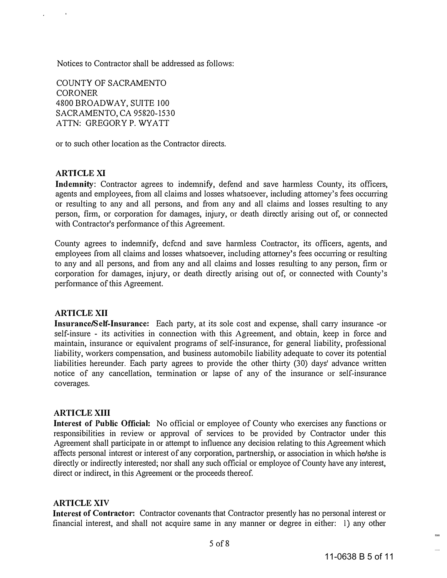Notices to Contractor shall be addressed as follows:

COUNTY OF SACRAMENTO **CORONER** 4800 BROADWAY, SUITE 100 SACRAMENTO, CA 95820-1530 ATTN: GREGORY P. WYATT

or to such other location as the Contractor directs.

## ARTICLE XI

Indemnity: Contractor agrees to indemnify, defend and save harmless County, its officers, agents and employees, from all claims and losses whatsoever, including attorney's fees occurring or resulting to any and all persons, and from any and all claims and losses resulting to any person, firm, or corporation for damages, injury, or death directly arising out of, or connected with Contractor's performance of this Agreement.

County agrees to indemnify, dcfcnd and save harmless Contractor, its officers, agents, and employees from all claims and losses whatsoever, including attorney's fees occurring or resulting to any and all persons, and from any and all claims and losses resulting to any person, firm or corporation for damages, injury, or death directly arising out of, or connected with County's performance of this Agreement.

## **ARTICLE XII**

Insurance/Self-Insurance: Each party, at its sole cost and expense, shall carry insurance -or self-insure - its activities in connection with this Agreement, and obtain, keep in force and maintain, insurance or equivalent programs of self-insurance, for general liability, professional liability, workers compensation, and business automobile liability adequate to cover its potential liabilities hereunder. Each party agrees to provide the other thirty (30) days' advance written notice of any cancellation, termination or lapse of any of the insurance or self-insurance coverages.

## **ARTICLE XIII**

**Interest of Public Official:** No official or employee of County who exercises any functions or responsibilities in review or approval of services to be provided by Contractor under this Agreement shall participate in or attempt to influence any decision relating to this Agreement which affects personal interest or interest of any corporation, partnership, or association in which he/she is directly or indirectly interested; nor shall any such official or employee of County have any interest, direct or indirect, in this Agreement or the proceeds thereof.

#### **ARTICLE XIV**

Interest of Contractor: Contractor covenants that Contractor presently has no personal interest or financial interest, and shall not acquire same in any manner or degree in either: I) any other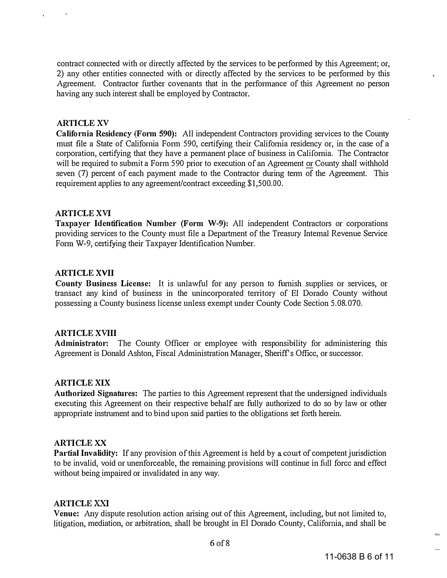contract connected with or directly affected by the services to be performed by this Agreement; or, 2) any other entities connected with or directly affected by the services to be performed by this Agreement. Contractor further covenants that in the performance of this Agreement no person having any such interest shall be employed by Contractor.

#### ARTICLE XV

Califomia Residency (Form 590): All independent Contractors providing services to the County must file a State of California Form 590, certifying their California residency or, in the case of a corporation, certifying that they have a permanent place of business in California. The Contractor will be required to submit a Form 590 prior to execution of an Agreement or County shall withhold seven (7) percent of each payment made to the Contractor during term of the Agreement. This requirement applies to any agreement/contract exceeding \$1,500.00.

#### ARTICLE XVI

Taxpayer Identification Number (Form W-9): All independent Contractors or corporations providing services to the County must file a Department of the Treasury Intemal Revenue Service Form W-9, certifying their Taxpayer Identification Number.

#### ARTICLE XVII

County Business License: It is unlawful for any person to furnish supplies or services, or transact any kind of business in the unincorporated territory of El Dorado County without possessing a County business license unless exempt under County Code Section 5.08.070.

## ARTICLE XVIII

Administrator: The County Officer or employee with responsibility for administering this Agreement is Donald Ashton, Fiscal Administration Manager, Sheriff's Office, or successor.

## ARTICLE XIX

Authorized Signatures: The parties to this Agreement represent that the undersigned individuals executing this Agreement on their respective behalf are fully authorized to do so by law or other appropriate instrument and to bind upon said parties to the obligations set forth herein.

#### ARTICLE XX

Partial Invalidity: If any provision of this Agreement is held by a court of competent jurisdiction to be invalid, void or unenforceable, the remaining provisions will continue in full forcc and effect without being impaired or invalidated in any way.

## ARTICLE XXI

Venue: Any dispute resolution action arising out of this Agreement, including, but not limited to, litigation, mediation, or arbitration, shall be brought in EI Dorado County, California, and shall be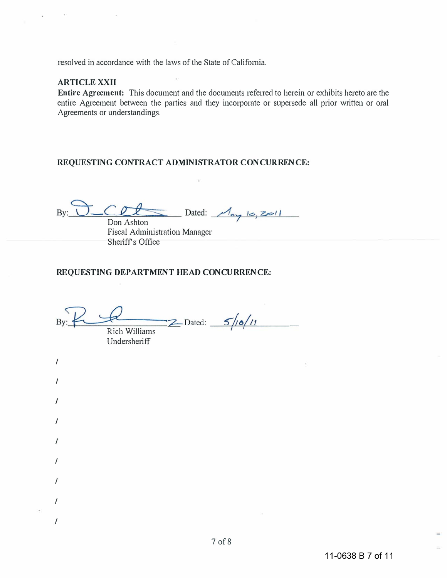resolved in accordance with the laws of the State of California.

## **ARTICLE XXII**

Entire Agreement: This document and the documents referred to herein or exhibits hereto are the entire Agreement between the parties and they incorporate or supersede all prior written or oral Agreements or understandings.

## REQUESTING CONTRACT ADMINISTRATOR CONCURRENCE:

 $By: O\_COL$  Dated:  $\mathcal{M}_{\alpha}$  to,  $z \approx 11$ 

Don Ashton Fiscal Administration Manager Sheriff's Office

#### REQUESTING DEPARTMENT HEAD CONCURRENCE:

 $By: RQ$ Rich Williams house and the documents referred to here<br>varties and they incorporate or superse<br>ADMINISTRATOR CONCURRENCE:<br><br>Dated:  $\frac{\sqrt{18}}{5}/10$ /11<br><br> $\frac{2}{5}/10$ /11

Undersheriff

/

/

/

/

/

/

/

/

/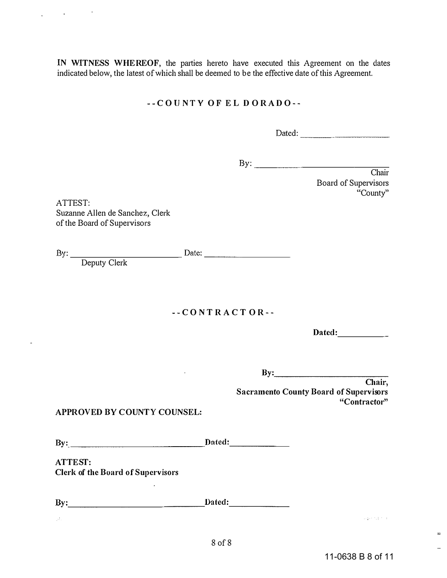IN WITNESS WHEREOF, the parties hereto have executed this Agreement on the dates indicated below, the latest of which shall be deemed to be the effective date of this Agreement.

## -- COUNTY OF EL DORADO--

Dated: \_\_\_\_\_\_\_\_ \_

 $\mathbf{B} \mathbf{y}$ :

Chair Board of Supervisors "County"

ATTEST: Suzanne Allen de Sanchez, Clerk of the Board of Supervisors

By: \_\_\_\_\_\_\_\_\_\_\_ Date: \_\_\_\_\_\_\_\_ \_

Deputy Clerk

-- CO N T RAC TOR --

Dated:

 $\mathbf{By:}$ 

Chair, Sacramento County Board of Supervisors " Contractor"

## APPROVED BY COUNTY COUNSEL:

By: Dated:

ATTEST: Clerk of the Board of Supervisors

By: Dated:

 $\overline{a}$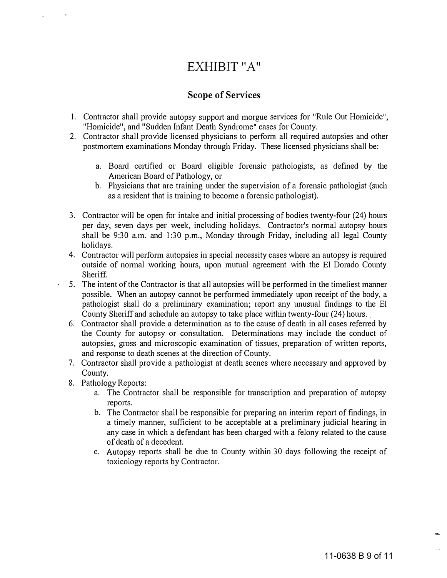# EXHIBIT "A"

# Scope of Services

- 1. Contractor shall provide autopsy support and morgue services for "Rule Out Homicide", "Homicide", and "Sudden Infant Death Syndrome" cases for County.
- 2. Contractor shall provide licensed physicians to perform all required autopsies and other postmortem examinations Monday through Friday. These licensed physicians shall be:
	- a. Board certified or Board eligible forensic pathologists, as defined by the American Board of Pathology, or
	- b. Physicians that are training under the supervision of a forensic pathologist (such as a resident that is training to become a forensic pathologist).
- 3. Contractor will be open for intake and initial processing of bodies twenty-four (24) hours per day, seven days per week, including holidays. Contractor's normal autopsy hours shall be 9:30 a.m. and 1:30 p.m., Monday through Friday, including all legal County holidays.
- 4. Contractor will perform autopsies in special necessity cases where an autopsy is required outside of normal working hours, upon mutual agreement with the EI Dorado County Sheriff.
- 5. The intent of the Contractor is that all autopsies will be performed in the timeliest manner possible. When an autopsy cannot be performed immediately upon receipt of the body, a pathologist shall do a preliminary examination; report any unusual findings to the EI County Sheriff and schedule an autopsy to take place within twenty-four (24) hours.
- 6. Contractor shall provide a determination as to the cause of death in all cases referred by the County for autopsy or consultation. Determinations may include the conduct of autopsies, gross and microscopic examination of tissues, preparation of written reports, and response to death scenes at the direction of County.
- 7. Contractor shall provide a pathologist at death scenes where necessary and approved by County.
- 8. Pathology Reports:
	- a. The Contractor shall be responsible for transcription and preparation of autopsy reports.
	- b. The Contractor shall be responsible for preparing an interim report of findings, in a timely manner, sufficient to be acceptable at a preliminary judicial hearing in any case in which a defendant has been charged with a felony related to the cause of death of a decedent.
	- c. Autopsy reports shall be due to County within 30 days following the receipt of toxicology reports by Contractor.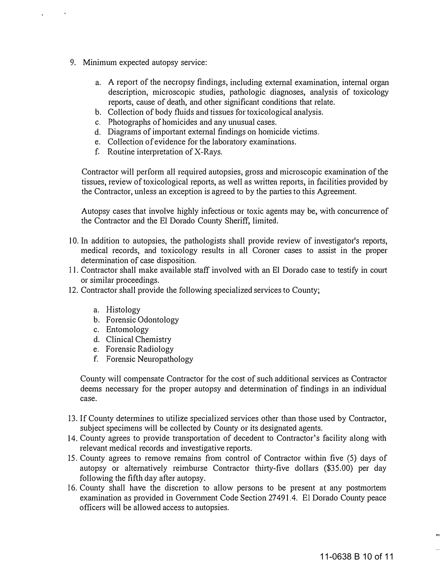- 9. Minimum expected autopsy service:
	- a. A report of the necropsy findings, including external examination, internal organ description, microscopic studies, pathologic diagnoses, analysis of toxicology reports, cause of death, and other significant conditions that relate.
	- b. Collection of body fluids and tissues for toxicological analysis.
	- c. Photographs of homicides and any unusual cases.
	- d. Diagrams of important external findings on homicide victims.
	- e. Collection of evidence for the laboratory examinations.
	- f. Routine interpretation of X-Rays.

Contractor will perform all required autopsies, gross and microscopic examination of the tissues, review of toxicological reports, as well as written reports, in facilities provided by the Contractor, unless an exception is agreed to by the parties to this Agreement.

Autopsy cases that involve highly infectious or toxic agents may be, with concurrence of the Contractor and the El Dorado County Sheriff, limited.

- 10. In addition to autopsies, the pathologists shall provide review of investigator's reports, medical records, and toxicology results in all Coroner cases to assist in the proper determination of case disposition.
- II . Contractor shall make available staff involved with an EI Dorado case to testify in court or similar proceedings.
- 12. Contractor shall provide the following specialized services to County;
	- a. Histology
	- b. Forensic Odontology
	- c. Entomology
	- d. Clinical Chemistry
	- e. Forensic Radiology
	- f. Forensic Neuropathology

County will compensate Contractor for the cost of such additional services as Contractor deems necessary for the proper autopsy and determination of findings in an individual case.

- 1 3. If County determines to utilize specialized services other than those used by Contractor, subject specimens will be collected by County or its designated agents.
- 14. County agrees to provide transportation of decedent to Contractor's facility along with relevant medical records and investigative reports.
- 15. County agrees to remove remains from control of Contractor within five (5) days of autopsy or alternatively reimburse Contractor thirty-five dollars (\$35.00) per day following the fifth day after autopsy.
- 16. County shall have the discretion to allow persons to be present at any postmortem examination as provided in Government Code Section 27491.4. EI Dorado County peace officers will be allowed access to autopsies.